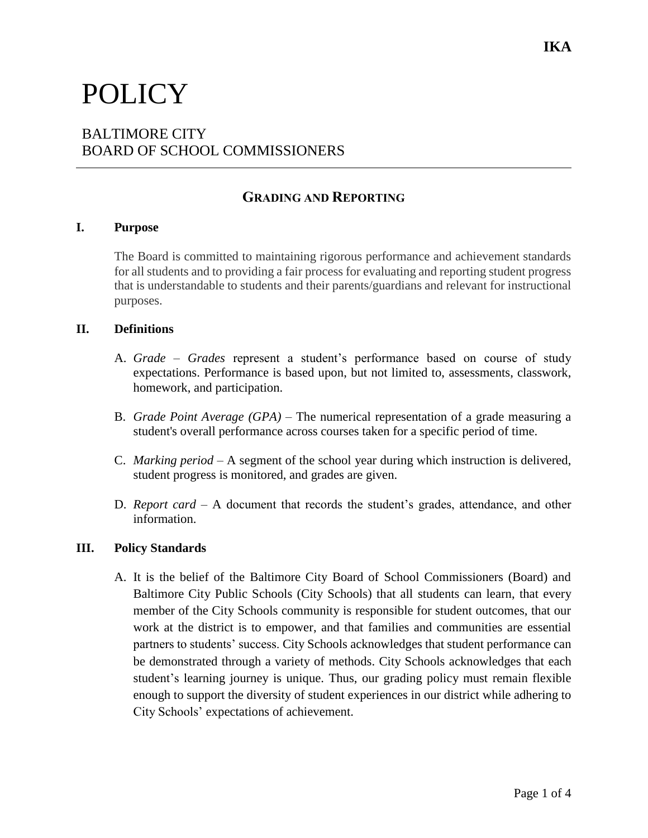# POLICY

# BALTIMORE CITY BOARD OF SCHOOL COMMISSIONERS

## **GRADING AND REPORTING**

#### **I. Purpose**

The Board is committed to maintaining rigorous performance and achievement standards for all students and to providing a fair process for evaluating and reporting student progress that is understandable to students and their parents/guardians and relevant for instructional purposes.

#### **II. Definitions**

- A. *Grade Grades* represent a student's performance based on course of study expectations. Performance is based upon, but not limited to, assessments, classwork, homework, and participation.
- B. *Grade Point Average (GPA)* The numerical representation of a grade measuring a student's overall performance across courses taken for a specific period of time.
- C. *Marking period* A segment of the school year during which instruction is delivered, student progress is monitored, and grades are given.
- D. *Report card* A document that records the student's grades, attendance, and other information.

#### **III. Policy Standards**

A. It is the belief of the Baltimore City Board of School Commissioners (Board) and Baltimore City Public Schools (City Schools) that all students can learn, that every member of the City Schools community is responsible for student outcomes, that our work at the district is to empower, and that families and communities are essential partners to students' success. City Schools acknowledges that student performance can be demonstrated through a variety of methods. City Schools acknowledges that each student's learning journey is unique. Thus, our grading policy must remain flexible enough to support the diversity of student experiences in our district while adhering to City Schools' expectations of achievement.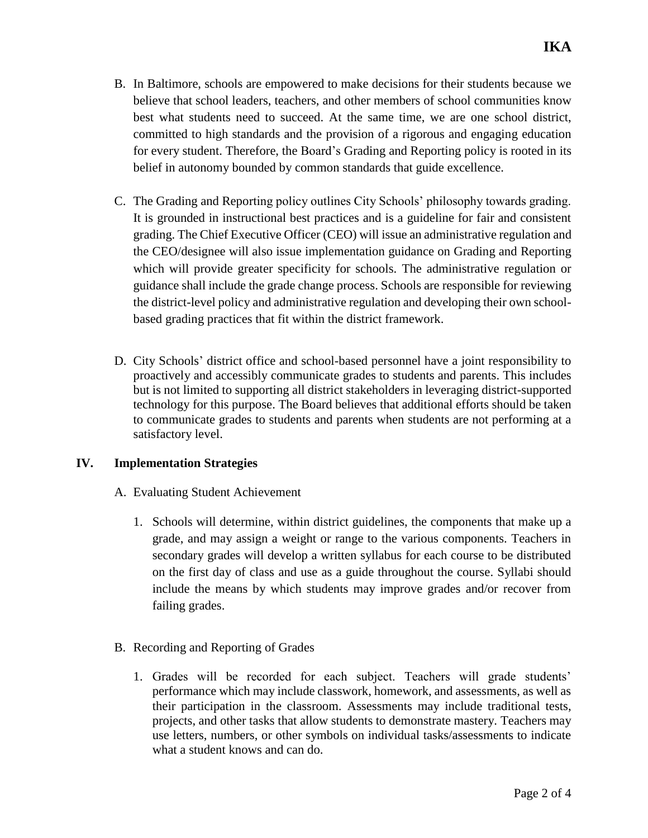- B. In Baltimore, schools are empowered to make decisions for their students because we believe that school leaders, teachers, and other members of school communities know best what students need to succeed. At the same time, we are one school district, committed to high standards and the provision of a rigorous and engaging education for every student. Therefore, the Board's Grading and Reporting policy is rooted in its belief in autonomy bounded by common standards that guide excellence.
- C. The Grading and Reporting policy outlines City Schools' philosophy towards grading. It is grounded in instructional best practices and is a guideline for fair and consistent grading. The Chief Executive Officer (CEO) will issue an administrative regulation and the CEO/designee will also issue implementation guidance on Grading and Reporting which will provide greater specificity for schools. The administrative regulation or guidance shall include the grade change process. Schools are responsible for reviewing the district-level policy and administrative regulation and developing their own schoolbased grading practices that fit within the district framework.
- D. City Schools' district office and school-based personnel have a joint responsibility to proactively and accessibly communicate grades to students and parents. This includes but is not limited to supporting all district stakeholders in leveraging district-supported technology for this purpose. The Board believes that additional efforts should be taken to communicate grades to students and parents when students are not performing at a satisfactory level.

### **IV. Implementation Strategies**

- A. Evaluating Student Achievement
	- 1. Schools will determine, within district guidelines, the components that make up a grade, and may assign a weight or range to the various components. Teachers in secondary grades will develop a written syllabus for each course to be distributed on the first day of class and use as a guide throughout the course. Syllabi should include the means by which students may improve grades and/or recover from failing grades.
- B. Recording and Reporting of Grades
	- 1. Grades will be recorded for each subject. Teachers will grade students' performance which may include classwork, homework, and assessments, as well as their participation in the classroom. Assessments may include traditional tests, projects, and other tasks that allow students to demonstrate mastery. Teachers may use letters, numbers, or other symbols on individual tasks/assessments to indicate what a student knows and can do.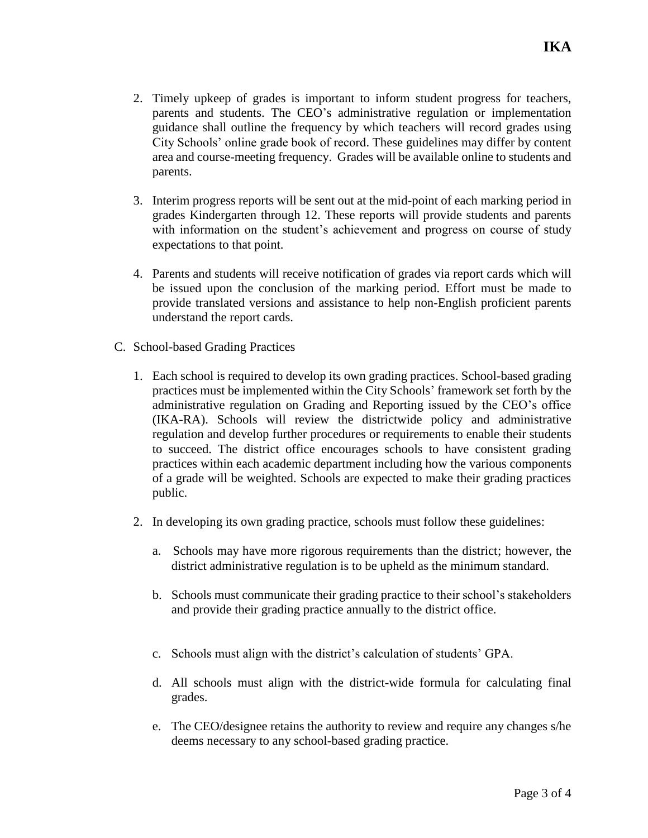- 2. Timely upkeep of grades is important to inform student progress for teachers, parents and students. The CEO's administrative regulation or implementation guidance shall outline the frequency by which teachers will record grades using City Schools' online grade book of record. These guidelines may differ by content area and course-meeting frequency. Grades will be available online to students and parents.
- 3. Interim progress reports will be sent out at the mid-point of each marking period in grades Kindergarten through 12. These reports will provide students and parents with information on the student's achievement and progress on course of study expectations to that point.
- 4. Parents and students will receive notification of grades via report cards which will be issued upon the conclusion of the marking period. Effort must be made to provide translated versions and assistance to help non-English proficient parents understand the report cards.
- C. School-based Grading Practices
	- 1. Each school is required to develop its own grading practices. School-based grading practices must be implemented within the City Schools' framework set forth by the administrative regulation on Grading and Reporting issued by the CEO's office (IKA-RA). Schools will review the districtwide policy and administrative regulation and develop further procedures or requirements to enable their students to succeed. The district office encourages schools to have consistent grading practices within each academic department including how the various components of a grade will be weighted. Schools are expected to make their grading practices public.
	- 2. In developing its own grading practice, schools must follow these guidelines:
		- a. Schools may have more rigorous requirements than the district; however, the district administrative regulation is to be upheld as the minimum standard.
		- b. Schools must communicate their grading practice to their school's stakeholders and provide their grading practice annually to the district office.
		- c. Schools must align with the district's calculation of students' GPA.
		- d. All schools must align with the district-wide formula for calculating final grades.
		- e. The CEO/designee retains the authority to review and require any changes s/he deems necessary to any school-based grading practice.